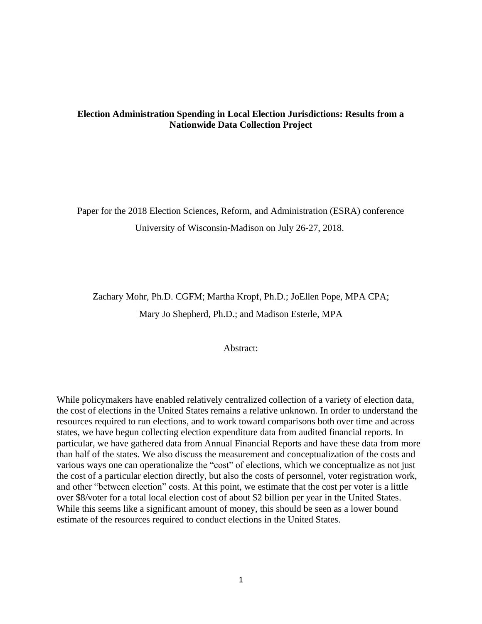# **Election Administration Spending in Local Election Jurisdictions: Results from a Nationwide Data Collection Project**

Paper for the 2018 Election Sciences, Reform, and Administration (ESRA) conference University of Wisconsin-Madison on July 26-27, 2018.

Zachary Mohr, Ph.D. CGFM; Martha Kropf, Ph.D.; JoEllen Pope, MPA CPA; Mary Jo Shepherd, Ph.D.; and Madison Esterle, MPA

### Abstract:

While policymakers have enabled relatively centralized collection of a variety of election data, the cost of elections in the United States remains a relative unknown. In order to understand the resources required to run elections, and to work toward comparisons both over time and across states, we have begun collecting election expenditure data from audited financial reports. In particular, we have gathered data from Annual Financial Reports and have these data from more than half of the states. We also discuss the measurement and conceptualization of the costs and various ways one can operationalize the "cost" of elections, which we conceptualize as not just the cost of a particular election directly, but also the costs of personnel, voter registration work, and other "between election" costs. At this point, we estimate that the cost per voter is a little over \$8/voter for a total local election cost of about \$2 billion per year in the United States. While this seems like a significant amount of money, this should be seen as a lower bound estimate of the resources required to conduct elections in the United States.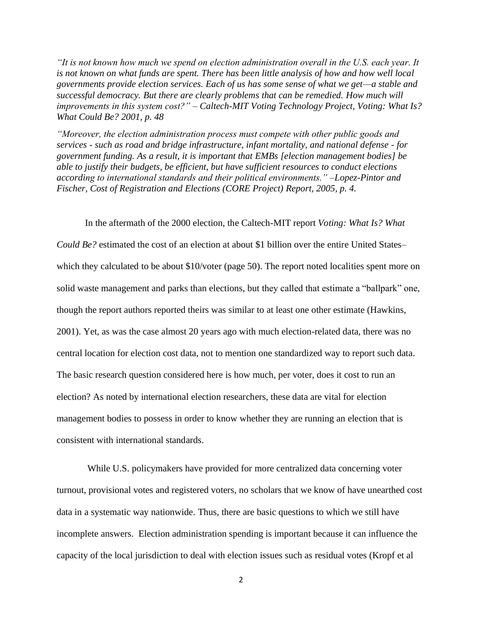*"It is not known how much we spend on election administration overall in the U.S. each year. It is not known on what funds are spent. There has been little analysis of how and how well local governments provide election services. Each of us has some sense of what we get—a stable and successful democracy. But there are clearly problems that can be remedied. How much will improvements in this system cost?" – Caltech-MIT Voting Technology Project, Voting: What Is? What Could Be? 2001, p. 48*

*"Moreover, the election administration process must compete with other public goods and services - such as road and bridge infrastructure, infant mortality, and national defense - for government funding. As a result, it is important that EMBs [election management bodies] be able to justify their budgets, be efficient, but have sufficient resources to conduct elections according to international standards and their political environments." –Lopez-Pintor and Fischer, Cost of Registration and Elections (CORE Project) Report, 2005, p. 4.*

In the aftermath of the 2000 election, the Caltech-MIT report *Voting: What Is? What Could Be?* estimated the cost of an election at about \$1 billion over the entire United States– which they calculated to be about \$10/voter (page 50). The report noted localities spent more on solid waste management and parks than elections, but they called that estimate a "ballpark" one, though the report authors reported theirs was similar to at least one other estimate (Hawkins, 2001). Yet, as was the case almost 20 years ago with much election-related data, there was no central location for election cost data, not to mention one standardized way to report such data. The basic research question considered here is how much, per voter, does it cost to run an election? As noted by international election researchers, these data are vital for election management bodies to possess in order to know whether they are running an election that is consistent with international standards.

While U.S. policymakers have provided for more centralized data concerning voter turnout, provisional votes and registered voters, no scholars that we know of have unearthed cost data in a systematic way nationwide. Thus, there are basic questions to which we still have incomplete answers. Election administration spending is important because it can influence the capacity of the local jurisdiction to deal with election issues such as residual votes (Kropf et al

2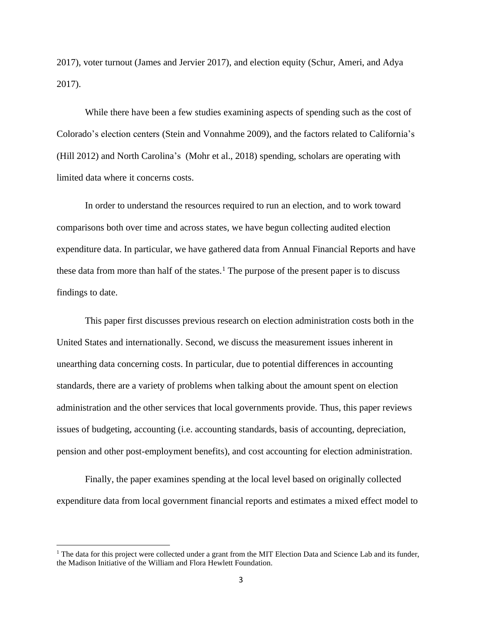2017), voter turnout (James and Jervier 2017), and election equity (Schur, Ameri, and Adya 2017).

While there have been a few studies examining aspects of spending such as the cost of Colorado's election centers (Stein and Vonnahme 2009), and the factors related to California's (Hill 2012) and North Carolina's (Mohr et al., 2018) spending, scholars are operating with limited data where it concerns costs.

In order to understand the resources required to run an election, and to work toward comparisons both over time and across states, we have begun collecting audited election expenditure data. In particular, we have gathered data from Annual Financial Reports and have these data from more than half of the states.<sup>1</sup> The purpose of the present paper is to discuss findings to date.

This paper first discusses previous research on election administration costs both in the United States and internationally. Second, we discuss the measurement issues inherent in unearthing data concerning costs. In particular, due to potential differences in accounting standards, there are a variety of problems when talking about the amount spent on election administration and the other services that local governments provide. Thus, this paper reviews issues of budgeting, accounting (i.e. accounting standards, basis of accounting, depreciation, pension and other post-employment benefits), and cost accounting for election administration.

Finally, the paper examines spending at the local level based on originally collected expenditure data from local government financial reports and estimates a mixed effect model to

<sup>&</sup>lt;sup>1</sup> The data for this project were collected under a grant from the MIT Election Data and Science Lab and its funder, the Madison Initiative of the William and Flora Hewlett Foundation.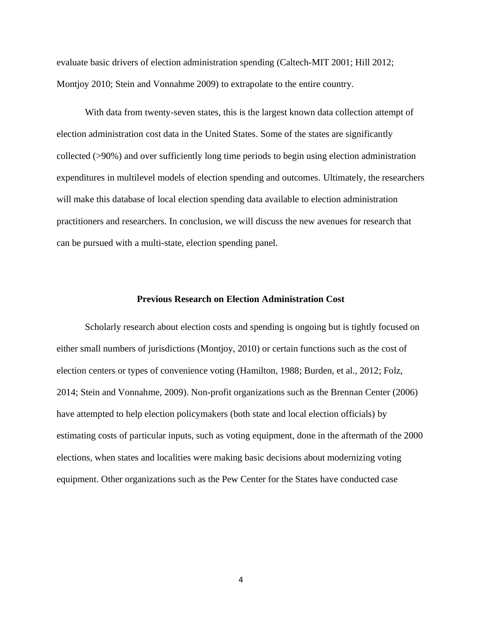evaluate basic drivers of election administration spending (Caltech-MIT 2001; Hill 2012; Montjoy 2010; Stein and Vonnahme 2009) to extrapolate to the entire country.

With data from twenty-seven states, this is the largest known data collection attempt of election administration cost data in the United States. Some of the states are significantly collected (>90%) and over sufficiently long time periods to begin using election administration expenditures in multilevel models of election spending and outcomes. Ultimately, the researchers will make this database of local election spending data available to election administration practitioners and researchers. In conclusion, we will discuss the new avenues for research that can be pursued with a multi-state, election spending panel.

## **Previous Research on Election Administration Cost**

Scholarly research about election costs and spending is ongoing but is tightly focused on either small numbers of jurisdictions (Montjoy, 2010) or certain functions such as the cost of election centers or types of convenience voting (Hamilton, 1988; Burden, et al., 2012; Folz, 2014; Stein and Vonnahme, 2009). Non-profit organizations such as the Brennan Center (2006) have attempted to help election policymakers (both state and local election officials) by estimating costs of particular inputs, such as voting equipment, done in the aftermath of the 2000 elections, when states and localities were making basic decisions about modernizing voting equipment. Other organizations such as the Pew Center for the States have conducted case

4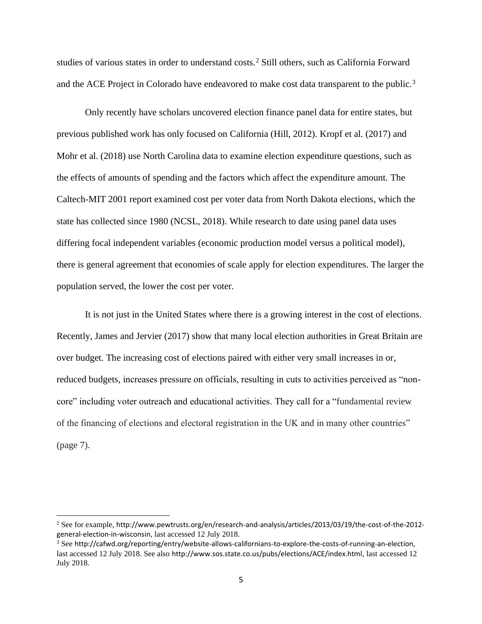studies of various states in order to understand costs.<sup>2</sup> Still others, such as California Forward and the ACE Project in Colorado have endeavored to make cost data transparent to the public.<sup>3</sup>

Only recently have scholars uncovered election finance panel data for entire states, but previous published work has only focused on California (Hill, 2012). Kropf et al. (2017) and Mohr et al. (2018) use North Carolina data to examine election expenditure questions, such as the effects of amounts of spending and the factors which affect the expenditure amount. The Caltech-MIT 2001 report examined cost per voter data from North Dakota elections, which the state has collected since 1980 (NCSL, 2018). While research to date using panel data uses differing focal independent variables (economic production model versus a political model), there is general agreement that economies of scale apply for election expenditures. The larger the population served, the lower the cost per voter.

It is not just in the United States where there is a growing interest in the cost of elections. Recently, James and Jervier (2017) show that many local election authorities in Great Britain are over budget. The increasing cost of elections paired with either very small increases in or, reduced budgets, increases pressure on officials, resulting in cuts to activities perceived as "noncore" including voter outreach and educational activities. They call for a "fundamental review of the financing of elections and electoral registration in the UK and in many other countries" (page 7).

<sup>2</sup> See for example, http://www.pewtrusts.org/en/research-and-analysis/articles/2013/03/19/the-cost-of-the-2012 general-election-in-wisconsin, last accessed 12 July 2018.

 $3$  See http://cafwd.org/reporting/entry/website-allows-californians-to-explore-the-costs-of-running-an-election, last accessed 12 July 2018. See also http://www.sos.state.co.us/pubs/elections/ACE/index.html, last accessed 12 July 2018.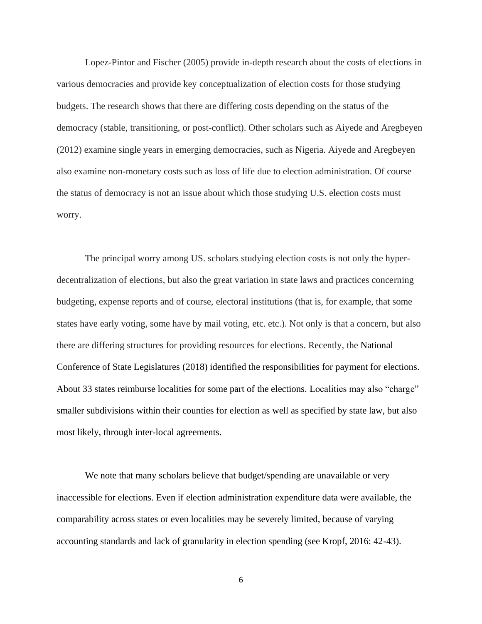Lopez-Pintor and Fischer (2005) provide in-depth research about the costs of elections in various democracies and provide key conceptualization of election costs for those studying budgets. The research shows that there are differing costs depending on the status of the democracy (stable, transitioning, or post-conflict). Other scholars such as Aiyede and Aregbeyen (2012) examine single years in emerging democracies, such as Nigeria. Aiyede and Aregbeyen also examine non-monetary costs such as loss of life due to election administration. Of course the status of democracy is not an issue about which those studying U.S. election costs must worry.

The principal worry among US. scholars studying election costs is not only the hyperdecentralization of elections, but also the great variation in state laws and practices concerning budgeting, expense reports and of course, electoral institutions (that is, for example, that some states have early voting, some have by mail voting, etc. etc.). Not only is that a concern, but also there are differing structures for providing resources for elections. Recently, the National Conference of State Legislatures (2018) identified the responsibilities for payment for elections. About 33 states reimburse localities for some part of the elections. Localities may also "charge" smaller subdivisions within their counties for election as well as specified by state law, but also most likely, through inter-local agreements.

We note that many scholars believe that budget/spending are unavailable or very inaccessible for elections. Even if election administration expenditure data were available, the comparability across states or even localities may be severely limited, because of varying accounting standards and lack of granularity in election spending (see Kropf, 2016: 42-43).

6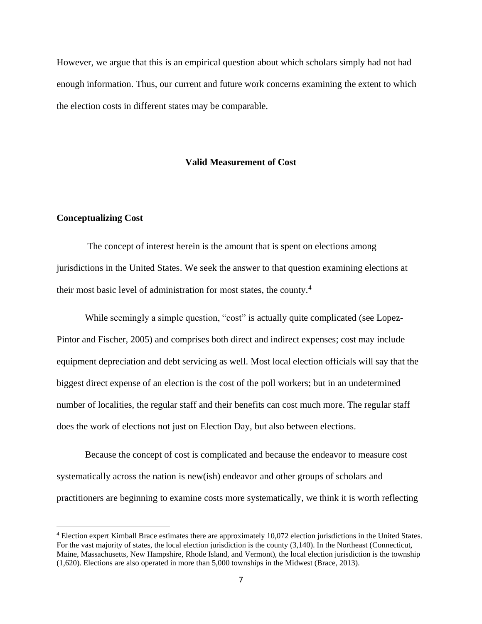However, we argue that this is an empirical question about which scholars simply had not had enough information. Thus, our current and future work concerns examining the extent to which the election costs in different states may be comparable.

### **Valid Measurement of Cost**

#### **Conceptualizing Cost**

The concept of interest herein is the amount that is spent on elections among jurisdictions in the United States. We seek the answer to that question examining elections at their most basic level of administration for most states, the county.<sup>4</sup>

While seemingly a simple question, "cost" is actually quite complicated (see Lopez-Pintor and Fischer, 2005) and comprises both direct and indirect expenses; cost may include equipment depreciation and debt servicing as well. Most local election officials will say that the biggest direct expense of an election is the cost of the poll workers; but in an undetermined number of localities, the regular staff and their benefits can cost much more. The regular staff does the work of elections not just on Election Day, but also between elections.

Because the concept of cost is complicated and because the endeavor to measure cost systematically across the nation is new(ish) endeavor and other groups of scholars and practitioners are beginning to examine costs more systematically, we think it is worth reflecting

<sup>4</sup> Election expert Kimball Brace estimates there are approximately 10,072 election jurisdictions in the United States. For the vast majority of states, the local election jurisdiction is the county (3,140). In the Northeast (Connecticut, Maine, Massachusetts, New Hampshire, Rhode Island, and Vermont), the local election jurisdiction is the township (1,620). Elections are also operated in more than 5,000 townships in the Midwest (Brace, 2013).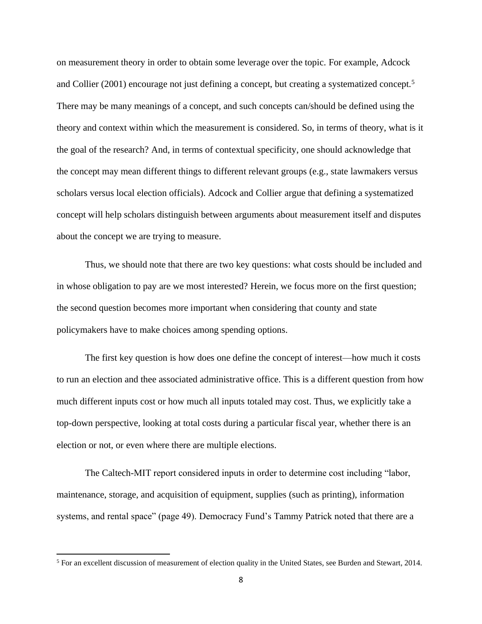on measurement theory in order to obtain some leverage over the topic. For example, Adcock and Collier (2001) encourage not just defining a concept, but creating a systematized concept.<sup>5</sup> There may be many meanings of a concept, and such concepts can/should be defined using the theory and context within which the measurement is considered. So, in terms of theory, what is it the goal of the research? And, in terms of contextual specificity, one should acknowledge that the concept may mean different things to different relevant groups (e.g., state lawmakers versus scholars versus local election officials). Adcock and Collier argue that defining a systematized concept will help scholars distinguish between arguments about measurement itself and disputes about the concept we are trying to measure.

Thus, we should note that there are two key questions: what costs should be included and in whose obligation to pay are we most interested? Herein, we focus more on the first question; the second question becomes more important when considering that county and state policymakers have to make choices among spending options.

The first key question is how does one define the concept of interest—how much it costs to run an election and thee associated administrative office. This is a different question from how much different inputs cost or how much all inputs totaled may cost. Thus, we explicitly take a top-down perspective, looking at total costs during a particular fiscal year, whether there is an election or not, or even where there are multiple elections.

The Caltech-MIT report considered inputs in order to determine cost including "labor, maintenance, storage, and acquisition of equipment, supplies (such as printing), information systems, and rental space" (page 49). Democracy Fund's Tammy Patrick noted that there are a

<sup>5</sup> For an excellent discussion of measurement of election quality in the United States, see Burden and Stewart, 2014.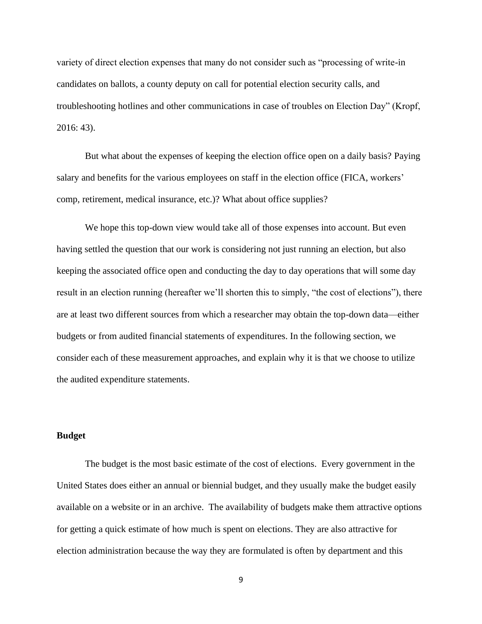variety of direct election expenses that many do not consider such as "processing of write-in candidates on ballots, a county deputy on call for potential election security calls, and troubleshooting hotlines and other communications in case of troubles on Election Day" (Kropf, 2016: 43).

But what about the expenses of keeping the election office open on a daily basis? Paying salary and benefits for the various employees on staff in the election office (FICA, workers' comp, retirement, medical insurance, etc.)? What about office supplies?

We hope this top-down view would take all of those expenses into account. But even having settled the question that our work is considering not just running an election, but also keeping the associated office open and conducting the day to day operations that will some day result in an election running (hereafter we'll shorten this to simply, "the cost of elections"), there are at least two different sources from which a researcher may obtain the top-down data—either budgets or from audited financial statements of expenditures. In the following section, we consider each of these measurement approaches, and explain why it is that we choose to utilize the audited expenditure statements.

## **Budget**

The budget is the most basic estimate of the cost of elections. Every government in the United States does either an annual or biennial budget, and they usually make the budget easily available on a website or in an archive. The availability of budgets make them attractive options for getting a quick estimate of how much is spent on elections. They are also attractive for election administration because the way they are formulated is often by department and this

9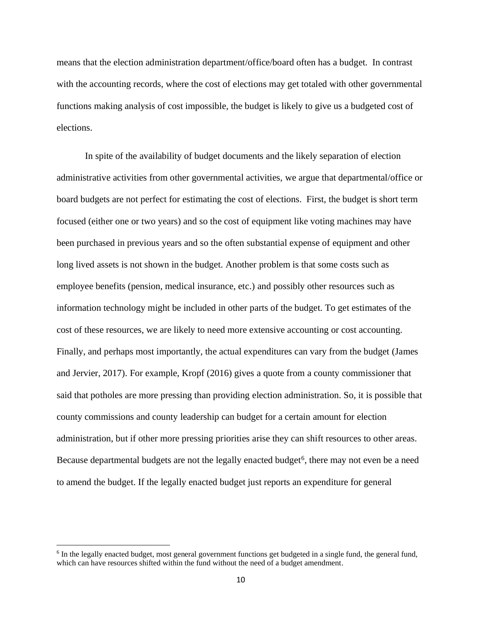means that the election administration department/office/board often has a budget. In contrast with the accounting records, where the cost of elections may get totaled with other governmental functions making analysis of cost impossible, the budget is likely to give us a budgeted cost of elections.

In spite of the availability of budget documents and the likely separation of election administrative activities from other governmental activities, we argue that departmental/office or board budgets are not perfect for estimating the cost of elections. First, the budget is short term focused (either one or two years) and so the cost of equipment like voting machines may have been purchased in previous years and so the often substantial expense of equipment and other long lived assets is not shown in the budget. Another problem is that some costs such as employee benefits (pension, medical insurance, etc.) and possibly other resources such as information technology might be included in other parts of the budget. To get estimates of the cost of these resources, we are likely to need more extensive accounting or cost accounting. Finally, and perhaps most importantly, the actual expenditures can vary from the budget (James and Jervier, 2017). For example, Kropf (2016) gives a quote from a county commissioner that said that potholes are more pressing than providing election administration. So, it is possible that county commissions and county leadership can budget for a certain amount for election administration, but if other more pressing priorities arise they can shift resources to other areas. Because departmental budgets are not the legally enacted budget<sup>6</sup>, there may not even be a need to amend the budget. If the legally enacted budget just reports an expenditure for general

<sup>&</sup>lt;sup>6</sup> In the legally enacted budget, most general government functions get budgeted in a single fund, the general fund, which can have resources shifted within the fund without the need of a budget amendment.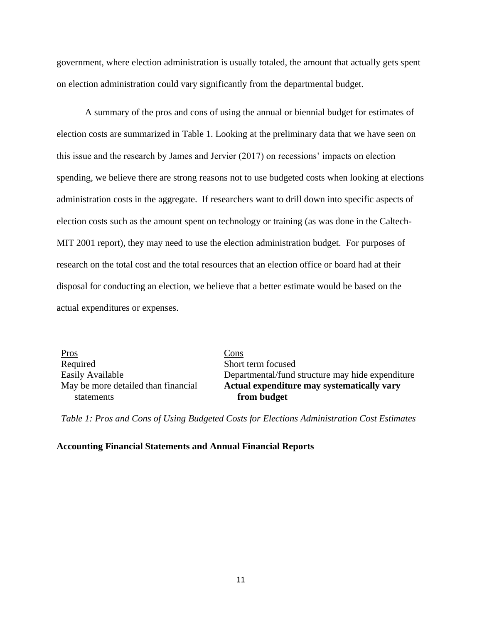government, where election administration is usually totaled, the amount that actually gets spent on election administration could vary significantly from the departmental budget.

A summary of the pros and cons of using the annual or biennial budget for estimates of election costs are summarized in Table 1. Looking at the preliminary data that we have seen on this issue and the research by James and Jervier (2017) on recessions' impacts on election spending, we believe there are strong reasons not to use budgeted costs when looking at elections administration costs in the aggregate. If researchers want to drill down into specific aspects of election costs such as the amount spent on technology or training (as was done in the Caltech-MIT 2001 report), they may need to use the election administration budget. For purposes of research on the total cost and the total resources that an election office or board had at their disposal for conducting an election, we believe that a better estimate would be based on the actual expenditures or expenses.

Pros Cons Required Short term focused May be more detailed than financial statements

Easily Available **Departmental/fund structure may hide expenditure Actual expenditure may systematically vary from budget**

*Table 1: Pros and Cons of Using Budgeted Costs for Elections Administration Cost Estimates*

#### **Accounting Financial Statements and Annual Financial Reports**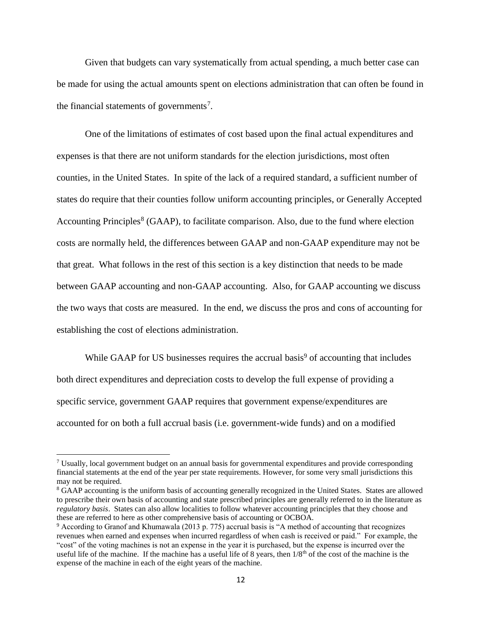Given that budgets can vary systematically from actual spending, a much better case can be made for using the actual amounts spent on elections administration that can often be found in the financial statements of governments<sup>7</sup>.

One of the limitations of estimates of cost based upon the final actual expenditures and expenses is that there are not uniform standards for the election jurisdictions, most often counties, in the United States. In spite of the lack of a required standard, a sufficient number of states do require that their counties follow uniform accounting principles, or Generally Accepted Accounting Principles<sup>8</sup> (GAAP), to facilitate comparison. Also, due to the fund where election costs are normally held, the differences between GAAP and non-GAAP expenditure may not be that great. What follows in the rest of this section is a key distinction that needs to be made between GAAP accounting and non-GAAP accounting. Also, for GAAP accounting we discuss the two ways that costs are measured. In the end, we discuss the pros and cons of accounting for establishing the cost of elections administration.

While GAAP for US businesses requires the accrual basis<sup>9</sup> of accounting that includes both direct expenditures and depreciation costs to develop the full expense of providing a specific service, government GAAP requires that government expense/expenditures are accounted for on both a full accrual basis (i.e. government-wide funds) and on a modified

<sup>7</sup> Usually, local government budget on an annual basis for governmental expenditures and provide corresponding financial statements at the end of the year per state requirements. However, for some very small jurisdictions this may not be required.

<sup>8</sup> GAAP accounting is the uniform basis of accounting generally recognized in the United States. States are allowed to prescribe their own basis of accounting and state prescribed principles are generally referred to in the literature as *regulatory basis*. States can also allow localities to follow whatever accounting principles that they choose and these are referred to here as other comprehensive basis of accounting or OCBOA.

<sup>9</sup> According to Granof and Khumawala (2013 p. 775) accrual basis is "A method of accounting that recognizes revenues when earned and expenses when incurred regardless of when cash is received or paid." For example, the "cost" of the voting machines is not an expense in the year it is purchased, but the expense is incurred over the useful life of the machine. If the machine has a useful life of 8 years, then  $1/8<sup>th</sup>$  of the cost of the machine is the expense of the machine in each of the eight years of the machine.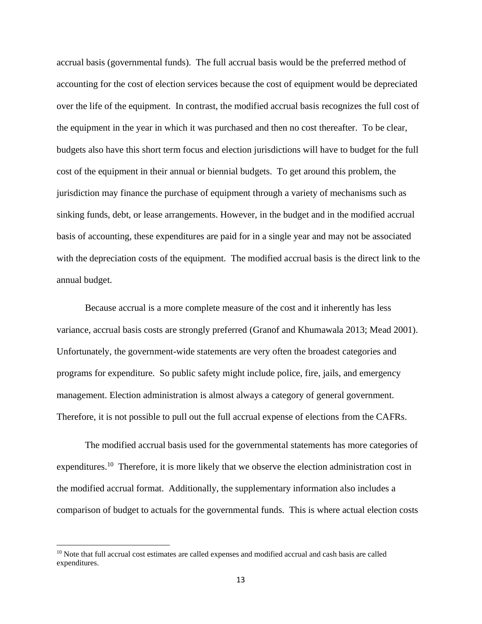accrual basis (governmental funds). The full accrual basis would be the preferred method of accounting for the cost of election services because the cost of equipment would be depreciated over the life of the equipment. In contrast, the modified accrual basis recognizes the full cost of the equipment in the year in which it was purchased and then no cost thereafter. To be clear, budgets also have this short term focus and election jurisdictions will have to budget for the full cost of the equipment in their annual or biennial budgets. To get around this problem, the jurisdiction may finance the purchase of equipment through a variety of mechanisms such as sinking funds, debt, or lease arrangements. However, in the budget and in the modified accrual basis of accounting, these expenditures are paid for in a single year and may not be associated with the depreciation costs of the equipment. The modified accrual basis is the direct link to the annual budget.

Because accrual is a more complete measure of the cost and it inherently has less variance, accrual basis costs are strongly preferred (Granof and Khumawala 2013; Mead 2001). Unfortunately, the government-wide statements are very often the broadest categories and programs for expenditure. So public safety might include police, fire, jails, and emergency management. Election administration is almost always a category of general government. Therefore, it is not possible to pull out the full accrual expense of elections from the CAFRs.

The modified accrual basis used for the governmental statements has more categories of expenditures.<sup>10</sup> Therefore, it is more likely that we observe the election administration cost in the modified accrual format. Additionally, the supplementary information also includes a comparison of budget to actuals for the governmental funds. This is where actual election costs

<sup>&</sup>lt;sup>10</sup> Note that full accrual cost estimates are called expenses and modified accrual and cash basis are called expenditures.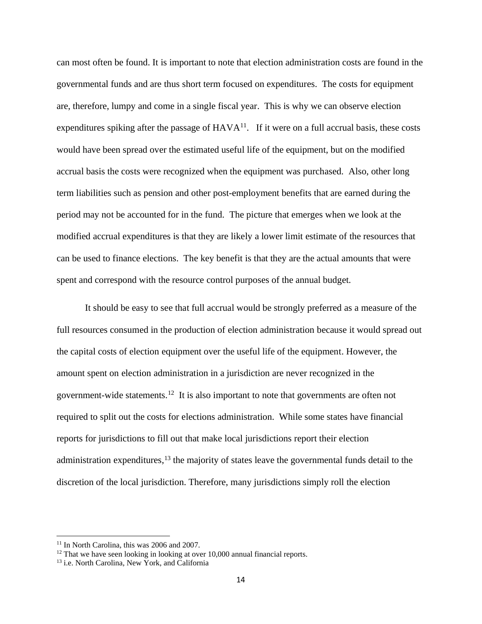can most often be found. It is important to note that election administration costs are found in the governmental funds and are thus short term focused on expenditures. The costs for equipment are, therefore, lumpy and come in a single fiscal year. This is why we can observe election expenditures spiking after the passage of  $HAVA^{11}$ . If it were on a full accrual basis, these costs would have been spread over the estimated useful life of the equipment, but on the modified accrual basis the costs were recognized when the equipment was purchased. Also, other long term liabilities such as pension and other post-employment benefits that are earned during the period may not be accounted for in the fund. The picture that emerges when we look at the modified accrual expenditures is that they are likely a lower limit estimate of the resources that can be used to finance elections. The key benefit is that they are the actual amounts that were spent and correspond with the resource control purposes of the annual budget.

It should be easy to see that full accrual would be strongly preferred as a measure of the full resources consumed in the production of election administration because it would spread out the capital costs of election equipment over the useful life of the equipment. However, the amount spent on election administration in a jurisdiction are never recognized in the government-wide statements.<sup>12</sup> It is also important to note that governments are often not required to split out the costs for elections administration. While some states have financial reports for jurisdictions to fill out that make local jurisdictions report their election administration expenditures,<sup>13</sup> the majority of states leave the governmental funds detail to the discretion of the local jurisdiction. Therefore, many jurisdictions simply roll the election

<sup>&</sup>lt;sup>11</sup> In North Carolina, this was 2006 and 2007.

<sup>&</sup>lt;sup>12</sup> That we have seen looking in looking at over 10,000 annual financial reports.

<sup>&</sup>lt;sup>13</sup> i.e. North Carolina, New York, and California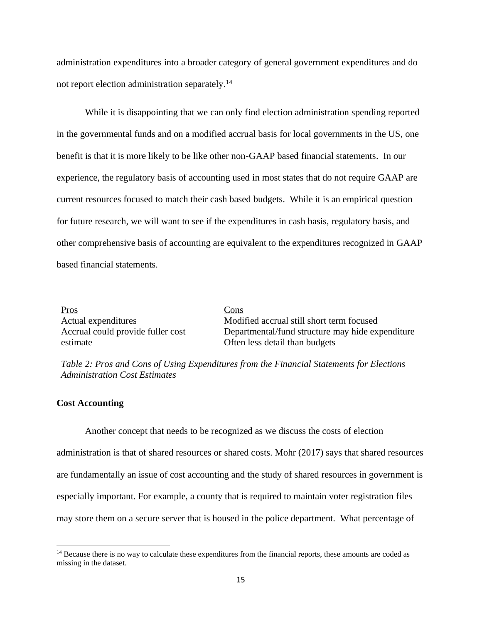administration expenditures into a broader category of general government expenditures and do not report election administration separately. 14

While it is disappointing that we can only find election administration spending reported in the governmental funds and on a modified accrual basis for local governments in the US, one benefit is that it is more likely to be like other non-GAAP based financial statements. In our experience, the regulatory basis of accounting used in most states that do not require GAAP are current resources focused to match their cash based budgets. While it is an empirical question for future research, we will want to see if the expenditures in cash basis, regulatory basis, and other comprehensive basis of accounting are equivalent to the expenditures recognized in GAAP based financial statements.

| Pros                              | $\frac{\text{Cons}}{\text{Cons}}$                |
|-----------------------------------|--------------------------------------------------|
| Actual expenditures               | Modified accrual still short term focused        |
| Accrual could provide fuller cost | Departmental/fund structure may hide expenditure |
| estimate                          | Often less detail than budgets                   |
|                                   |                                                  |

*Table 2: Pros and Cons of Using Expenditures from the Financial Statements for Elections Administration Cost Estimates*

#### **Cost Accounting**

Another concept that needs to be recognized as we discuss the costs of election administration is that of shared resources or shared costs. Mohr (2017) says that shared resources are fundamentally an issue of cost accounting and the study of shared resources in government is especially important. For example, a county that is required to maintain voter registration files may store them on a secure server that is housed in the police department. What percentage of

<sup>&</sup>lt;sup>14</sup> Because there is no way to calculate these expenditures from the financial reports, these amounts are coded as missing in the dataset.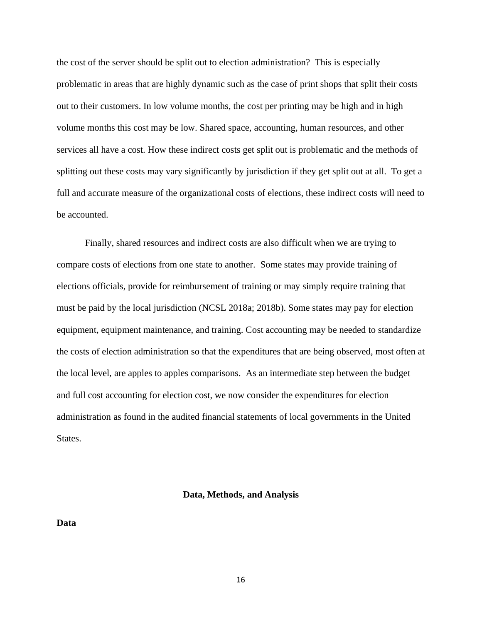the cost of the server should be split out to election administration? This is especially problematic in areas that are highly dynamic such as the case of print shops that split their costs out to their customers. In low volume months, the cost per printing may be high and in high volume months this cost may be low. Shared space, accounting, human resources, and other services all have a cost. How these indirect costs get split out is problematic and the methods of splitting out these costs may vary significantly by jurisdiction if they get split out at all. To get a full and accurate measure of the organizational costs of elections, these indirect costs will need to be accounted.

Finally, shared resources and indirect costs are also difficult when we are trying to compare costs of elections from one state to another. Some states may provide training of elections officials, provide for reimbursement of training or may simply require training that must be paid by the local jurisdiction (NCSL 2018a; 2018b). Some states may pay for election equipment, equipment maintenance, and training. Cost accounting may be needed to standardize the costs of election administration so that the expenditures that are being observed, most often at the local level, are apples to apples comparisons. As an intermediate step between the budget and full cost accounting for election cost, we now consider the expenditures for election administration as found in the audited financial statements of local governments in the United States.

#### **Data, Methods, and Analysis**

**Data**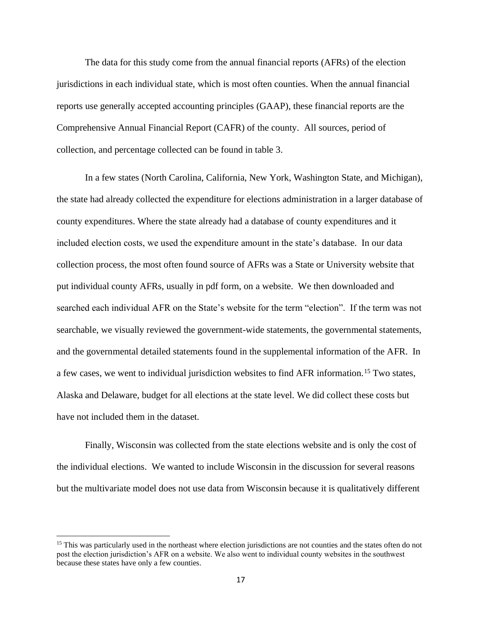The data for this study come from the annual financial reports (AFRs) of the election jurisdictions in each individual state, which is most often counties. When the annual financial reports use generally accepted accounting principles (GAAP), these financial reports are the Comprehensive Annual Financial Report (CAFR) of the county. All sources, period of collection, and percentage collected can be found in table 3.

In a few states (North Carolina, California, New York, Washington State, and Michigan), the state had already collected the expenditure for elections administration in a larger database of county expenditures. Where the state already had a database of county expenditures and it included election costs, we used the expenditure amount in the state's database. In our data collection process, the most often found source of AFRs was a State or University website that put individual county AFRs, usually in pdf form, on a website. We then downloaded and searched each individual AFR on the State's website for the term "election". If the term was not searchable, we visually reviewed the government-wide statements, the governmental statements, and the governmental detailed statements found in the supplemental information of the AFR. In a few cases, we went to individual jurisdiction websites to find AFR information.<sup>15</sup> Two states, Alaska and Delaware, budget for all elections at the state level. We did collect these costs but have not included them in the dataset.

Finally, Wisconsin was collected from the state elections website and is only the cost of the individual elections. We wanted to include Wisconsin in the discussion for several reasons but the multivariate model does not use data from Wisconsin because it is qualitatively different

<sup>&</sup>lt;sup>15</sup> This was particularly used in the northeast where election jurisdictions are not counties and the states often do not post the election jurisdiction's AFR on a website. We also went to individual county websites in the southwest because these states have only a few counties.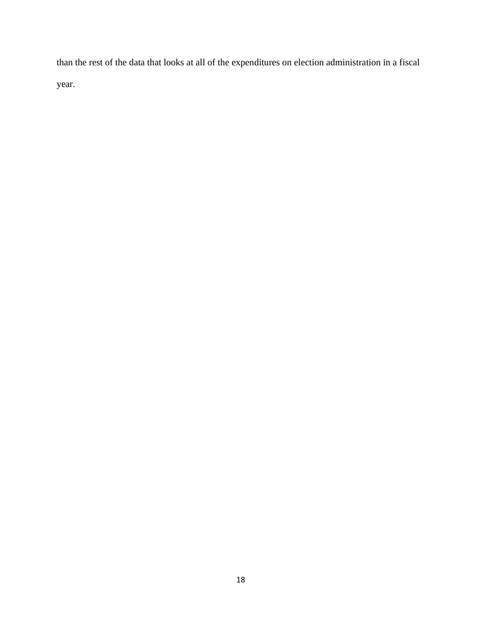than the rest of the data that looks at all of the expenditures on election administration in a fiscal year.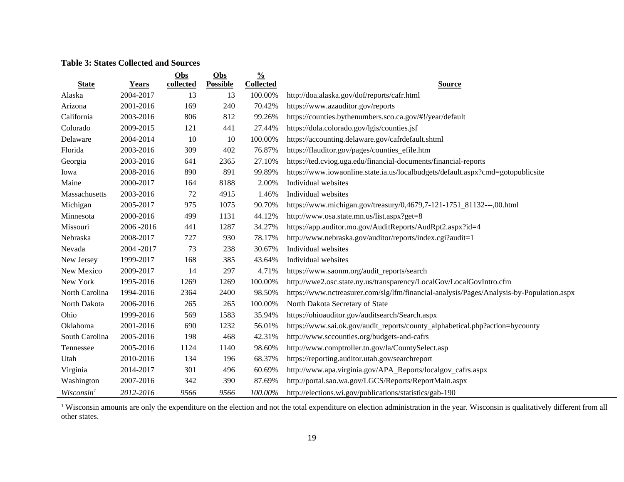# **Table 3: States Collected and Sources**

|                        |             | Obs       | Obs             | $\frac{0}{0}$    |                                                                                          |
|------------------------|-------------|-----------|-----------------|------------------|------------------------------------------------------------------------------------------|
| <b>State</b>           | Years       | collected | <b>Possible</b> | <b>Collected</b> | <b>Source</b>                                                                            |
| Alaska                 | 2004-2017   | 13        | 13              | 100.00%          | http://doa.alaska.gov/dof/reports/cafr.html                                              |
| Arizona                | 2001-2016   | 169       | 240             | 70.42%           | https://www.azauditor.gov/reports                                                        |
| California             | 2003-2016   | 806       | 812             | 99.26%           | https://counties.bythenumbers.sco.ca.gov/#!/year/default                                 |
| Colorado               | 2009-2015   | 121       | 441             | 27.44%           | https://dola.colorado.gov/lgis/counties.jsf                                              |
| Delaware               | 2004-2014   | 10        | 10              | 100.00%          | https://accounting.delaware.gov/cafrdefault.shtml                                        |
| Florida                | 2003-2016   | 309       | 402             | 76.87%           | https://flauditor.gov/pages/counties_efile.htm                                           |
| Georgia                | 2003-2016   | 641       | 2365            | 27.10%           | https://ted.cviog.uga.edu/financial-documents/financial-reports                          |
| Iowa                   | 2008-2016   | 890       | 891             | 99.89%           | https://www.iowaonline.state.ia.us/localbudgets/default.aspx?cmd=gotopublicsite          |
| Maine                  | 2000-2017   | 164       | 8188            | 2.00%            | Individual websites                                                                      |
| Massachusetts          | 2003-2016   | 72        | 4915            | 1.46%            | Individual websites                                                                      |
| Michigan               | 2005-2017   | 975       | 1075            | 90.70%           | https://www.michigan.gov/treasury/0,4679,7-121-1751_81132---,00.html                     |
| Minnesota              | 2000-2016   | 499       | 1131            | 44.12%           | http://www.osa.state.mn.us/list.aspx?get=8                                               |
| Missouri               | 2006-2016   | 441       | 1287            | 34.27%           | https://app.auditor.mo.gov/AuditReports/AudRpt2.aspx?id=4                                |
| Nebraska               | 2008-2017   | 727       | 930             | 78.17%           | http://www.nebraska.gov/auditor/reports/index.cgi?audit=1                                |
| Nevada                 | 2004 - 2017 | 73        | 238             | 30.67%           | Individual websites                                                                      |
| New Jersey             | 1999-2017   | 168       | 385             | 43.64%           | Individual websites                                                                      |
| New Mexico             | 2009-2017   | 14        | 297             | 4.71%            | https://www.saonm.org/audit_reports/search                                               |
| New York               | 1995-2016   | 1269      | 1269            | 100.00%          | http://wwe2.osc.state.ny.us/transparency/LocalGov/LocalGovIntro.cfm                      |
| North Carolina         | 1994-2016   | 2364      | 2400            | 98.50%           | https://www.nctreasurer.com/slg/lfm/financial-analysis/Pages/Analysis-by-Population.aspx |
| North Dakota           | 2006-2016   | 265       | 265             | 100.00%          | North Dakota Secretary of State                                                          |
| Ohio                   | 1999-2016   | 569       | 1583            | 35.94%           | https://ohioauditor.gov/auditsearch/Search.aspx                                          |
| Oklahoma               | 2001-2016   | 690       | 1232            | 56.01%           | https://www.sai.ok.gov/audit_reports/county_alphabetical.php?action=bycounty             |
| South Carolina         | 2005-2016   | 198       | 468             | 42.31%           | http://www.sccounties.org/budgets-and-cafrs                                              |
| Tennessee              | 2005-2016   | 1124      | 1140            | 98.60%           | http://www.comptroller.tn.gov/la/CountySelect.asp                                        |
| Utah                   | 2010-2016   | 134       | 196             | 68.37%           | https://reporting.auditor.utah.gov/searchreport                                          |
| Virginia               | 2014-2017   | 301       | 496             | 60.69%           | http://www.apa.virginia.gov/APA_Reports/localgov_cafrs.aspx                              |
| Washington             | 2007-2016   | 342       | 390             | 87.69%           | http://portal.sao.wa.gov/LGCS/Reports/ReportMain.aspx                                    |
| Wisconsin <sup>1</sup> | 2012-2016   | 9566      | 9566            | 100.00%          | http://elections.wi.gov/publications/statistics/gab-190                                  |

<sup>1</sup> Wisconsin amounts are only the expenditure on the election and not the total expenditure on election administration in the year. Wisconsin is qualitatively different from all other states.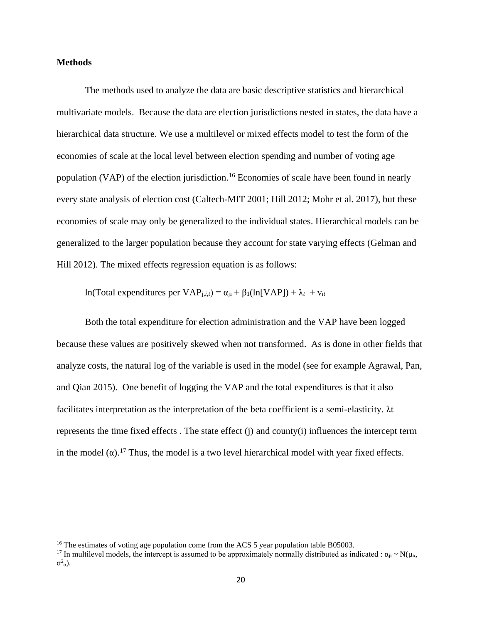### **Methods**

The methods used to analyze the data are basic descriptive statistics and hierarchical multivariate models. Because the data are election jurisdictions nested in states, the data have a hierarchical data structure. We use a multilevel or mixed effects model to test the form of the economies of scale at the local level between election spending and number of voting age population (VAP) of the election jurisdiction.<sup>16</sup> Economies of scale have been found in nearly every state analysis of election cost (Caltech-MIT 2001; Hill 2012; Mohr et al. 2017), but these economies of scale may only be generalized to the individual states. Hierarchical models can be generalized to the larger population because they account for state varying effects (Gelman and Hill 2012). The mixed effects regression equation is as follows:

ln(Total expenditures per VAP<sub>*j,i,t*</sub>) = α<sub>ji</sub> + β<sub>1</sub>(ln[VAP]) + λ*t* + ν*it* 

Both the total expenditure for election administration and the VAP have been logged because these values are positively skewed when not transformed. As is done in other fields that analyze costs, the natural log of the variable is used in the model (see for example Agrawal, Pan, and Qian 2015). One benefit of logging the VAP and the total expenditures is that it also facilitates interpretation as the interpretation of the beta coefficient is a semi-elasticity. λt represents the time fixed effects . The state effect (j) and county(i) influences the intercept term in the model  $(\alpha)$ .<sup>17</sup> Thus, the model is a two level hierarchical model with year fixed effects.

<sup>&</sup>lt;sup>16</sup> The estimates of voting age population come from the ACS 5 year population table B05003.

<sup>&</sup>lt;sup>17</sup> In multilevel models, the intercept is assumed to be approximately normally distributed as indicated :  $\alpha_{ii} \sim N(\mu_{\alpha}$ ,  $σ²_α$ ).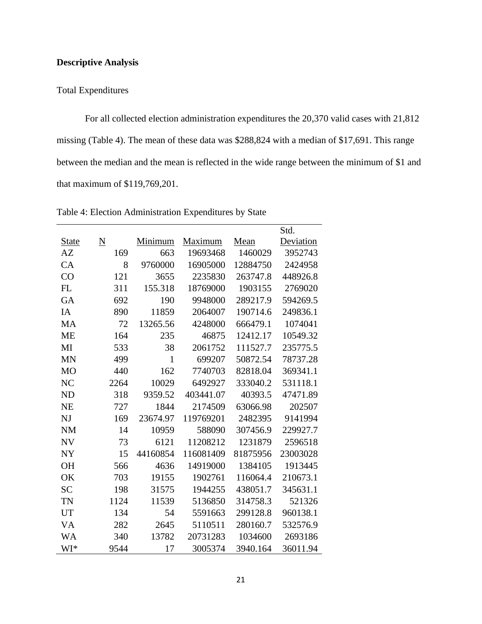# **Descriptive Analysis**

# Total Expenditures

For all collected election administration expenditures the 20,370 valid cases with 21,812 missing (Table 4). The mean of these data was \$288,824 with a median of \$17,691. This range between the median and the mean is reflected in the wide range between the minimum of \$1 and that maximum of \$119,769,201.

|                |                 |              |           |          | Std.      |
|----------------|-----------------|--------------|-----------|----------|-----------|
| <u>State</u>   | $\underline{N}$ | Minimum      | Maximum   | Mean     | Deviation |
| AZ             | 169             | 663          | 19693468  | 1460029  | 3952743   |
| CA             | 8               | 9760000      | 16905000  | 12884750 | 2424958   |
| CO             | 121             | 3655         | 2235830   | 263747.8 | 448926.8  |
| FL             | 311             | 155.318      | 18769000  | 1903155  | 2769020   |
| GA             | 692             | 190          | 9948000   | 289217.9 | 594269.5  |
| IA             | 890             | 11859        | 2064007   | 190714.6 | 249836.1  |
| <b>MA</b>      | 72              | 13265.56     | 4248000   | 666479.1 | 1074041   |
| <b>ME</b>      | 164             | 235          | 46875     | 12412.17 | 10549.32  |
| MI             | 533             | 38           | 2061752   | 111527.7 | 235775.5  |
| <b>MN</b>      | 499             | $\mathbf{1}$ | 699207    | 50872.54 | 78737.28  |
| M <sub>O</sub> | 440             | 162          | 7740703   | 82818.04 | 369341.1  |
| N <sub>C</sub> | 2264            | 10029        | 6492927   | 333040.2 | 531118.1  |
| <b>ND</b>      | 318             | 9359.52      | 403441.07 | 40393.5  | 47471.89  |
| <b>NE</b>      | 727             | 1844         | 2174509   | 63066.98 | 202507    |
| NJ             | 169             | 23674.97     | 119769201 | 2482395  | 9141994   |
| <b>NM</b>      | 14              | 10959        | 588090    | 307456.9 | 229927.7  |
| <b>NV</b>      | 73              | 6121         | 11208212  | 1231879  | 2596518   |
| <b>NY</b>      | 15              | 44160854     | 116081409 | 81875956 | 23003028  |
| <b>OH</b>      | 566             | 4636         | 14919000  | 1384105  | 1913445   |
| OK             | 703             | 19155        | 1902761   | 116064.4 | 210673.1  |
| <b>SC</b>      | 198             | 31575        | 1944255   | 438051.7 | 345631.1  |
| TN             | 1124            | 11539        | 5136850   | 314758.3 | 521326    |
| <b>UT</b>      | 134             | 54           | 5591663   | 299128.8 | 960138.1  |
| VA             | 282             | 2645         | 5110511   | 280160.7 | 532576.9  |
| <b>WA</b>      | 340             | 13782        | 20731283  | 1034600  | 2693186   |
| WI*            | 9544            | 17           | 3005374   | 3940.164 | 36011.94  |

Table 4: Election Administration Expenditures by State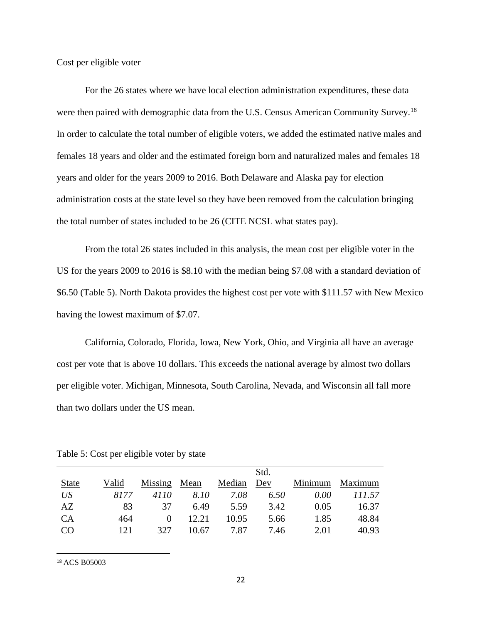Cost per eligible voter

For the 26 states where we have local election administration expenditures, these data were then paired with demographic data from the U.S. Census American Community Survey.<sup>18</sup> In order to calculate the total number of eligible voters, we added the estimated native males and females 18 years and older and the estimated foreign born and naturalized males and females 18 years and older for the years 2009 to 2016. Both Delaware and Alaska pay for election administration costs at the state level so they have been removed from the calculation bringing the total number of states included to be 26 (CITE NCSL what states pay).

From the total 26 states included in this analysis, the mean cost per eligible voter in the US for the years 2009 to 2016 is \$8.10 with the median being \$7.08 with a standard deviation of \$6.50 (Table 5). North Dakota provides the highest cost per vote with \$111.57 with New Mexico having the lowest maximum of \$7.07.

California, Colorado, Florida, Iowa, New York, Ohio, and Virginia all have an average cost per vote that is above 10 dollars. This exceeds the national average by almost two dollars per eligible voter. Michigan, Minnesota, South Carolina, Nevada, and Wisconsin all fall more than two dollars under the US mean.

|              |       |         |       |        | Std. |         |         |
|--------------|-------|---------|-------|--------|------|---------|---------|
| <b>State</b> | Valid | Missing | Mean  | Median | Dev  | Minimum | Maximum |
| US           | 8177  | 4110    | 8.10  | 7.08   | 6.50 | 0.00    | 111.57  |
| AZ           | 83    | 37      | 6.49  | 5.59   | 3.42 | 0.05    | 16.37   |
| CA           | 464   | 0       | 12.21 | 10.95  | 5.66 | 1.85    | 48.84   |
| CO           | 121   | 327     | 10.67 | 7.87   | 7.46 | 2.01    | 40.93   |
|              |       |         |       |        |      |         |         |

Table 5: Cost per eligible voter by state

<sup>18</sup> ACS B05003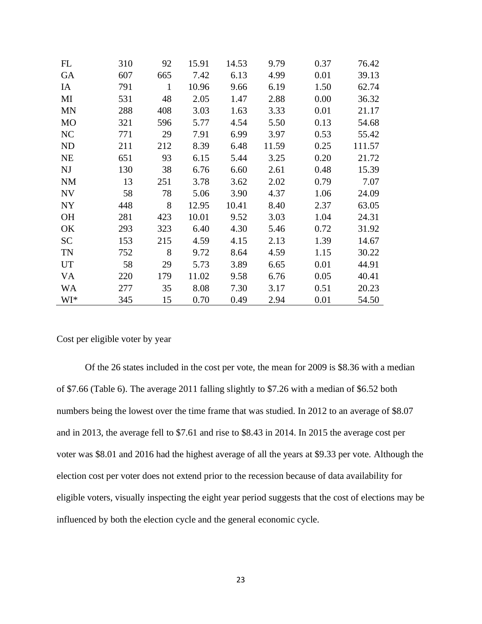| FL        | 310 | 92           | 15.91 | 14.53 | 9.79  | 0.37 | 76.42  |
|-----------|-----|--------------|-------|-------|-------|------|--------|
| GA        | 607 | 665          | 7.42  | 6.13  | 4.99  | 0.01 | 39.13  |
| IA        | 791 | $\mathbf{1}$ | 10.96 | 9.66  | 6.19  | 1.50 | 62.74  |
| MI        | 531 | 48           | 2.05  | 1.47  | 2.88  | 0.00 | 36.32  |
| <b>MN</b> | 288 | 408          | 3.03  | 1.63  | 3.33  | 0.01 | 21.17  |
| <b>MO</b> | 321 | 596          | 5.77  | 4.54  | 5.50  | 0.13 | 54.68  |
| NC        | 771 | 29           | 7.91  | 6.99  | 3.97  | 0.53 | 55.42  |
| ND        | 211 | 212          | 8.39  | 6.48  | 11.59 | 0.25 | 111.57 |
| <b>NE</b> | 651 | 93           | 6.15  | 5.44  | 3.25  | 0.20 | 21.72  |
| NJ        | 130 | 38           | 6.76  | 6.60  | 2.61  | 0.48 | 15.39  |
| <b>NM</b> | 13  | 251          | 3.78  | 3.62  | 2.02  | 0.79 | 7.07   |
| NV        | 58  | 78           | 5.06  | 3.90  | 4.37  | 1.06 | 24.09  |
| NY        | 448 | 8            | 12.95 | 10.41 | 8.40  | 2.37 | 63.05  |
| <b>OH</b> | 281 | 423          | 10.01 | 9.52  | 3.03  | 1.04 | 24.31  |
| OK        | 293 | 323          | 6.40  | 4.30  | 5.46  | 0.72 | 31.92  |
| <b>SC</b> | 153 | 215          | 4.59  | 4.15  | 2.13  | 1.39 | 14.67  |
| <b>TN</b> | 752 | 8            | 9.72  | 8.64  | 4.59  | 1.15 | 30.22  |
| <b>UT</b> | 58  | 29           | 5.73  | 3.89  | 6.65  | 0.01 | 44.91  |
| <b>VA</b> | 220 | 179          | 11.02 | 9.58  | 6.76  | 0.05 | 40.41  |
| <b>WA</b> | 277 | 35           | 8.08  | 7.30  | 3.17  | 0.51 | 20.23  |
| WI*       | 345 | 15           | 0.70  | 0.49  | 2.94  | 0.01 | 54.50  |

Cost per eligible voter by year

Of the 26 states included in the cost per vote, the mean for 2009 is \$8.36 with a median of \$7.66 (Table 6). The average 2011 falling slightly to \$7.26 with a median of \$6.52 both numbers being the lowest over the time frame that was studied. In 2012 to an average of \$8.07 and in 2013, the average fell to \$7.61 and rise to \$8.43 in 2014. In 2015 the average cost per voter was \$8.01 and 2016 had the highest average of all the years at \$9.33 per vote. Although the election cost per voter does not extend prior to the recession because of data availability for eligible voters, visually inspecting the eight year period suggests that the cost of elections may be influenced by both the election cycle and the general economic cycle.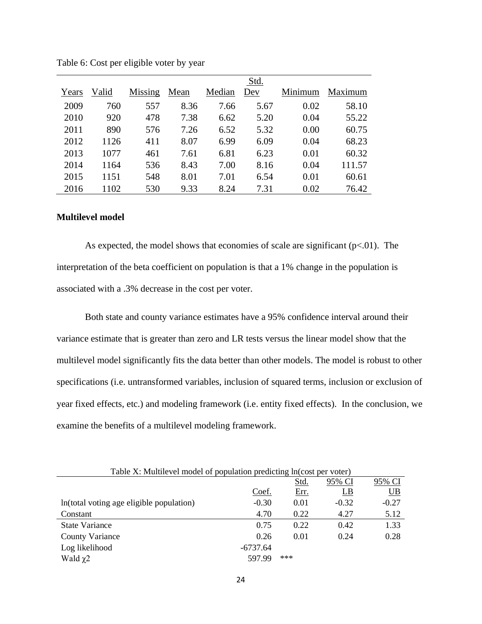|       |       |         |      |        | Std. |         |         |
|-------|-------|---------|------|--------|------|---------|---------|
| Years | Valid | Missing | Mean | Median | Dev  | Minimum | Maximum |
| 2009  | 760   | 557     | 8.36 | 7.66   | 5.67 | 0.02    | 58.10   |
| 2010  | 920   | 478     | 7.38 | 6.62   | 5.20 | 0.04    | 55.22   |
| 2011  | 890   | 576     | 7.26 | 6.52   | 5.32 | 0.00    | 60.75   |
| 2012  | 1126  | 411     | 8.07 | 6.99   | 6.09 | 0.04    | 68.23   |
| 2013  | 1077  | 461     | 7.61 | 6.81   | 6.23 | 0.01    | 60.32   |
| 2014  | 1164  | 536     | 8.43 | 7.00   | 8.16 | 0.04    | 111.57  |
| 2015  | 1151  | 548     | 8.01 | 7.01   | 6.54 | 0.01    | 60.61   |
| 2016  | 1102  | 530     | 9.33 | 8.24   | 7.31 | 0.02    | 76.42   |

Table 6: Cost per eligible voter by year

#### **Multilevel model**

As expected, the model shows that economies of scale are significant  $(p<0.01)$ . The interpretation of the beta coefficient on population is that a 1% change in the population is associated with a .3% decrease in the cost per voter.

Both state and county variance estimates have a 95% confidence interval around their variance estimate that is greater than zero and LR tests versus the linear model show that the multilevel model significantly fits the data better than other models. The model is robust to other specifications (i.e. untransformed variables, inclusion of squared terms, inclusion or exclusion of year fixed effects, etc.) and modeling framework (i.e. entity fixed effects). In the conclusion, we examine the benefits of a multilevel modeling framework.

| Table X: Multilevel model of population predicting ln(cost per voter) |            |      |         |                         |  |  |  |  |
|-----------------------------------------------------------------------|------------|------|---------|-------------------------|--|--|--|--|
|                                                                       |            | Std. | 95% CI  | 95% CI                  |  |  |  |  |
|                                                                       | Coef.      | Err. | $_{LB}$ | $\underline{\text{UB}}$ |  |  |  |  |
| In(total voting age eligible population)                              | $-0.30$    | 0.01 | $-0.32$ | $-0.27$                 |  |  |  |  |
| Constant                                                              | 4.70       | 0.22 | 4.27    | 5.12                    |  |  |  |  |
| <b>State Variance</b>                                                 | 0.75       | 0.22 | 0.42    | 1.33                    |  |  |  |  |
| <b>County Variance</b>                                                | 0.26       | 0.01 | 0.24    | 0.28                    |  |  |  |  |
| Log likelihood                                                        | $-6737.64$ |      |         |                         |  |  |  |  |
| Wald $\chi$ 2                                                         | 597.99     | ***  |         |                         |  |  |  |  |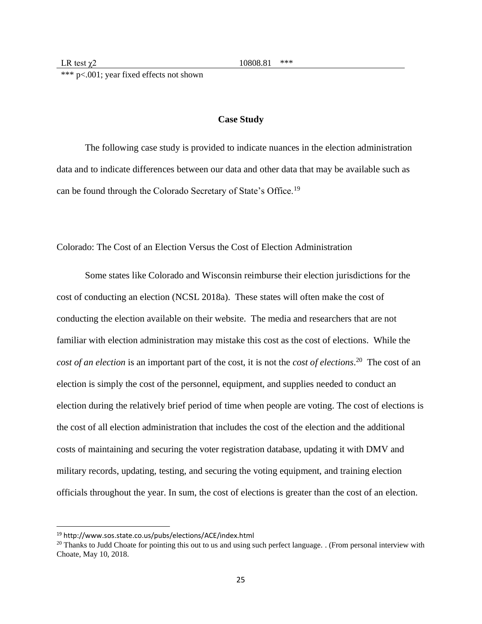\*\*\* p<.001; year fixed effects not shown

### **Case Study**

The following case study is provided to indicate nuances in the election administration data and to indicate differences between our data and other data that may be available such as can be found through the Colorado Secretary of State's Office.<sup>19</sup>

Colorado: The Cost of an Election Versus the Cost of Election Administration

Some states like Colorado and Wisconsin reimburse their election jurisdictions for the cost of conducting an election (NCSL 2018a). These states will often make the cost of conducting the election available on their website. The media and researchers that are not familiar with election administration may mistake this cost as the cost of elections. While the *cost of an election* is an important part of the cost, it is not the *cost of elections*. 20 The cost of an election is simply the cost of the personnel, equipment, and supplies needed to conduct an election during the relatively brief period of time when people are voting. The cost of elections is the cost of all election administration that includes the cost of the election and the additional costs of maintaining and securing the voter registration database, updating it with DMV and military records, updating, testing, and securing the voting equipment, and training election officials throughout the year. In sum, the cost of elections is greater than the cost of an election.

<sup>19</sup> http://www.sos.state.co.us/pubs/elections/ACE/index.html

<sup>&</sup>lt;sup>20</sup> Thanks to Judd Choate for pointing this out to us and using such perfect language. . (From personal interview with Choate, May 10, 2018.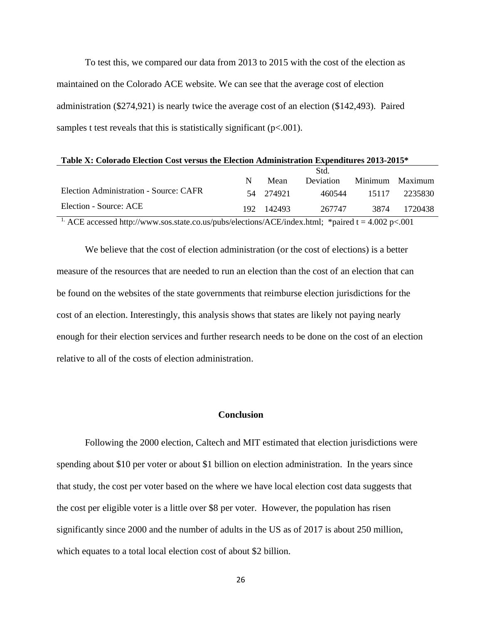To test this, we compared our data from 2013 to 2015 with the cost of the election as maintained on the Colorado ACE website. We can see that the average cost of election administration (\$274,921) is nearly twice the average cost of an election (\$142,493). Paired samples t test reveals that this is statistically significant  $(p<.001)$ .

| Table X: Colorado Election Cost versus the Election Administration Expenditures 2013-2015* |      |           |                  |         |         |  |  |  |
|--------------------------------------------------------------------------------------------|------|-----------|------------------|---------|---------|--|--|--|
|                                                                                            |      | Std.      |                  |         |         |  |  |  |
|                                                                                            | N    | Mean      | <b>Deviation</b> | Minimum | Maximum |  |  |  |
| Election Administration - Source: CAFR                                                     |      | 54 274921 | 460544           | 15117   | 2235830 |  |  |  |
| Election - Source: ACE                                                                     | 192. | 142493    | 267747           | 3874    | 1720438 |  |  |  |
| $\sim$ $  -$                                                                               |      |           |                  | .       |         |  |  |  |

<sup>1.</sup> ACE accessed http://www.sos.state.co.us/pubs/elections/ACE/index.html; \*paired t = 4.002 p<.001

We believe that the cost of election administration (or the cost of elections) is a better measure of the resources that are needed to run an election than the cost of an election that can be found on the websites of the state governments that reimburse election jurisdictions for the cost of an election. Interestingly, this analysis shows that states are likely not paying nearly enough for their election services and further research needs to be done on the cost of an election relative to all of the costs of election administration.

#### **Conclusion**

Following the 2000 election, Caltech and MIT estimated that election jurisdictions were spending about \$10 per voter or about \$1 billion on election administration. In the years since that study, the cost per voter based on the where we have local election cost data suggests that the cost per eligible voter is a little over \$8 per voter. However, the population has risen significantly since 2000 and the number of adults in the US as of 2017 is about 250 million, which equates to a total local election cost of about \$2 billion.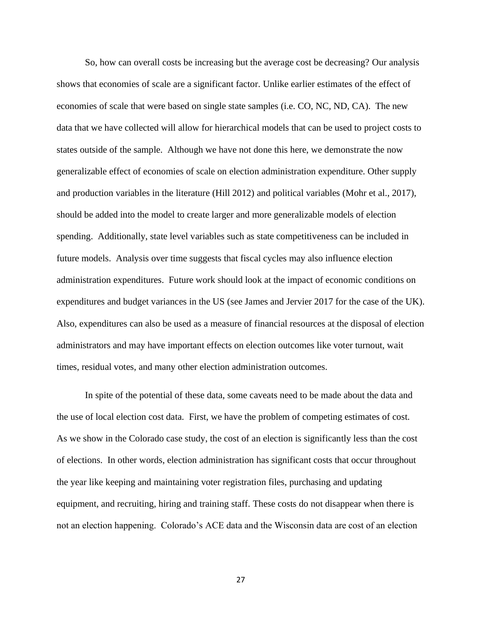So, how can overall costs be increasing but the average cost be decreasing? Our analysis shows that economies of scale are a significant factor. Unlike earlier estimates of the effect of economies of scale that were based on single state samples (i.e. CO, NC, ND, CA). The new data that we have collected will allow for hierarchical models that can be used to project costs to states outside of the sample. Although we have not done this here, we demonstrate the now generalizable effect of economies of scale on election administration expenditure. Other supply and production variables in the literature (Hill 2012) and political variables (Mohr et al., 2017), should be added into the model to create larger and more generalizable models of election spending. Additionally, state level variables such as state competitiveness can be included in future models. Analysis over time suggests that fiscal cycles may also influence election administration expenditures. Future work should look at the impact of economic conditions on expenditures and budget variances in the US (see James and Jervier 2017 for the case of the UK). Also, expenditures can also be used as a measure of financial resources at the disposal of election administrators and may have important effects on election outcomes like voter turnout, wait times, residual votes, and many other election administration outcomes.

In spite of the potential of these data, some caveats need to be made about the data and the use of local election cost data. First, we have the problem of competing estimates of cost. As we show in the Colorado case study, the cost of an election is significantly less than the cost of elections. In other words, election administration has significant costs that occur throughout the year like keeping and maintaining voter registration files, purchasing and updating equipment, and recruiting, hiring and training staff. These costs do not disappear when there is not an election happening. Colorado's ACE data and the Wisconsin data are cost of an election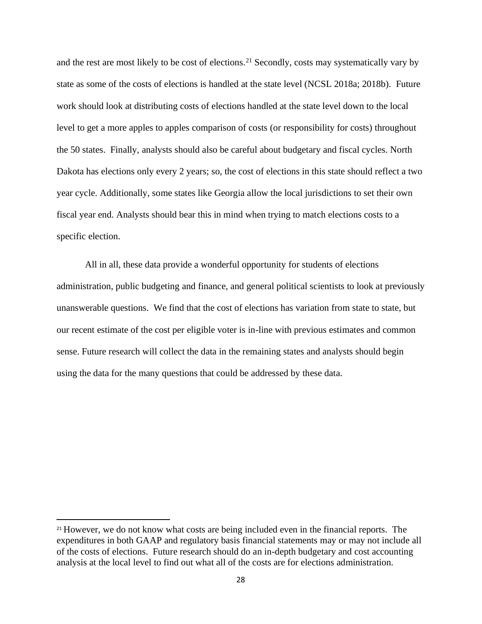and the rest are most likely to be cost of elections.<sup>21</sup> Secondly, costs may systematically vary by state as some of the costs of elections is handled at the state level (NCSL 2018a; 2018b). Future work should look at distributing costs of elections handled at the state level down to the local level to get a more apples to apples comparison of costs (or responsibility for costs) throughout the 50 states. Finally, analysts should also be careful about budgetary and fiscal cycles. North Dakota has elections only every 2 years; so, the cost of elections in this state should reflect a two year cycle. Additionally, some states like Georgia allow the local jurisdictions to set their own fiscal year end. Analysts should bear this in mind when trying to match elections costs to a specific election.

All in all, these data provide a wonderful opportunity for students of elections administration, public budgeting and finance, and general political scientists to look at previously unanswerable questions. We find that the cost of elections has variation from state to state, but our recent estimate of the cost per eligible voter is in-line with previous estimates and common sense. Future research will collect the data in the remaining states and analysts should begin using the data for the many questions that could be addressed by these data.

<sup>&</sup>lt;sup>21</sup> However, we do not know what costs are being included even in the financial reports. The expenditures in both GAAP and regulatory basis financial statements may or may not include all of the costs of elections. Future research should do an in-depth budgetary and cost accounting analysis at the local level to find out what all of the costs are for elections administration.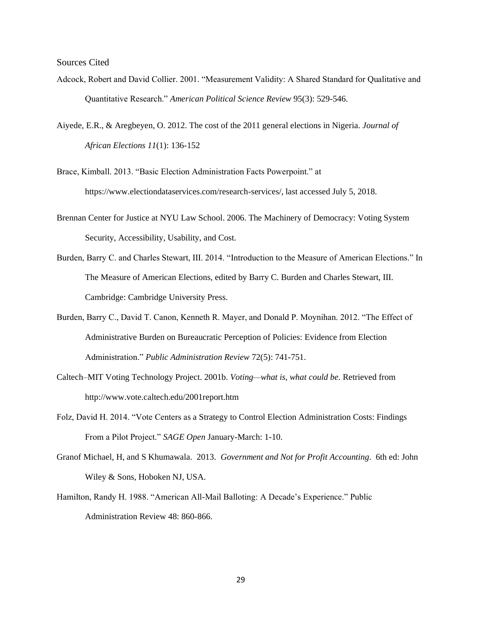Sources Cited

- Adcock, Robert and David Collier. 2001. "Measurement Validity: A Shared Standard for Qualitative and Quantitative Research." *American Political Science Review* 95(3): 529-546.
- Aiyede, E.R., & Aregbeyen, O. 2012. The cost of the 2011 general elections in Nigeria. *Journal of African Elections 11*(1): 136-152

Brace, Kimball. 2013. "Basic Election Administration Facts Powerpoint." at https://www.electiondataservices.com/research-services/, last accessed July 5, 2018.

- Brennan Center for Justice at NYU Law School. 2006. The Machinery of Democracy: Voting System Security, Accessibility, Usability, and Cost.
- Burden, Barry C. and Charles Stewart, III. 2014. "Introduction to the Measure of American Elections." In The Measure of American Elections, edited by Barry C. Burden and Charles Stewart, III. Cambridge: Cambridge University Press.
- Burden, Barry C., David T. Canon, Kenneth R. Mayer, and Donald P. Moynihan. 2012. "The Effect of Administrative Burden on Bureaucratic Perception of Policies: Evidence from Election Administration." *Public Administration Review* 72(5): 741-751.
- Caltech–MIT Voting Technology Project. 2001b. *Voting—what is, what could be.* Retrieved from http://www.vote.caltech.edu/2001report.htm
- Folz, David H. 2014. "Vote Centers as a Strategy to Control Election Administration Costs: Findings From a Pilot Project." *SAGE Open* January-March: 1-10.
- Granof Michael, H, and S Khumawala. 2013. *Government and Not for Profit Accounting*. 6th ed: John Wiley & Sons, Hoboken NJ, USA.
- Hamilton, Randy H. 1988. "American All-Mail Balloting: A Decade's Experience." Public Administration Review 48: 860-866.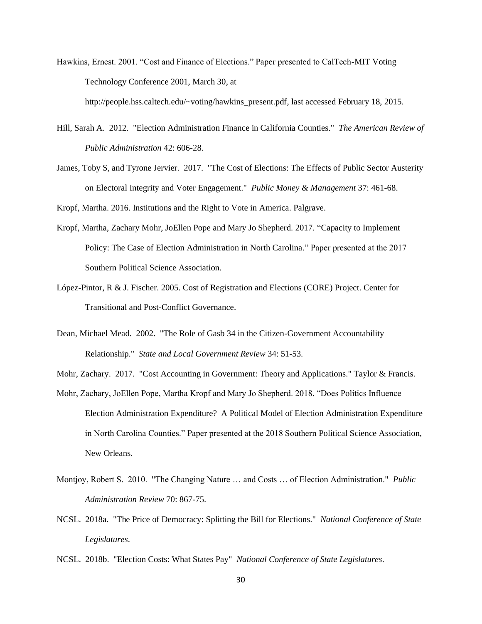- Hawkins, Ernest. 2001. "Cost and Finance of Elections." Paper presented to CalTech-MIT Voting Technology Conference 2001, March 30, at http://people.hss.caltech.edu/~voting/hawkins\_present.pdf, last accessed February 18, 2015.
- Hill, Sarah A. 2012. "Election Administration Finance in California Counties." *The American Review of Public Administration* 42: 606-28.
- James, Toby S, and Tyrone Jervier. 2017. "The Cost of Elections: The Effects of Public Sector Austerity on Electoral Integrity and Voter Engagement." *Public Money & Management* 37: 461-68.

Kropf, Martha. 2016. Institutions and the Right to Vote in America. Palgrave.

- Kropf, Martha, Zachary Mohr, JoEllen Pope and Mary Jo Shepherd. 2017. "Capacity to Implement Policy: The Case of Election Administration in North Carolina." Paper presented at the 2017 Southern Political Science Association.
- López-Pintor, R & J. Fischer. 2005. Cost of Registration and Elections (CORE) Project. Center for Transitional and Post-Conflict Governance.
- Dean, Michael Mead. 2002. "The Role of Gasb 34 in the Citizen-Government Accountability Relationship." *State and Local Government Review* 34: 51-53.

Mohr, Zachary. 2017. "Cost Accounting in Government: Theory and Applications." Taylor & Francis.

- Mohr, Zachary, JoEllen Pope, Martha Kropf and Mary Jo Shepherd. 2018. "Does Politics Influence Election Administration Expenditure? A Political Model of Election Administration Expenditure in North Carolina Counties." Paper presented at the 2018 Southern Political Science Association, New Orleans.
- Montjoy, Robert S. 2010. "The Changing Nature … and Costs … of Election Administration." *Public Administration Review* 70: 867-75.
- NCSL. 2018a. "The Price of Democracy: Splitting the Bill for Elections." *National Conference of State Legislatures*.
- NCSL. 2018b. "Election Costs: What States Pay" *National Conference of State Legislatures*.